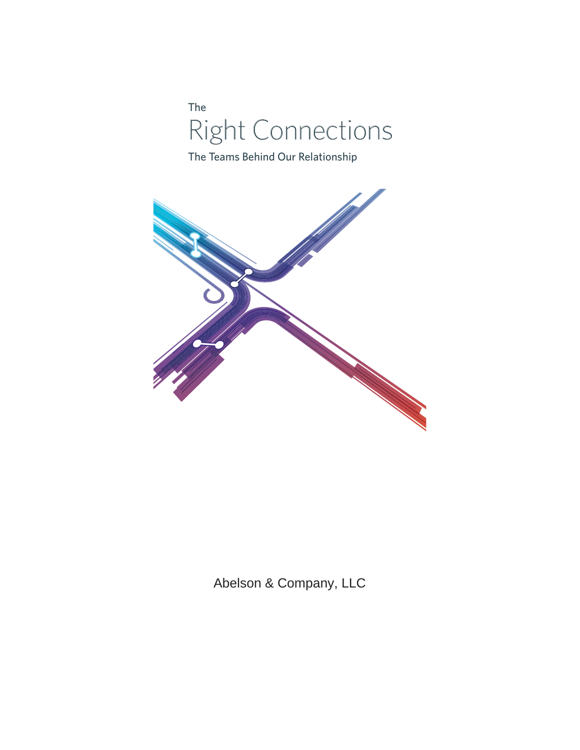The Right Connections

The Teams Behind Our Relationship



Abelson & Company, LLC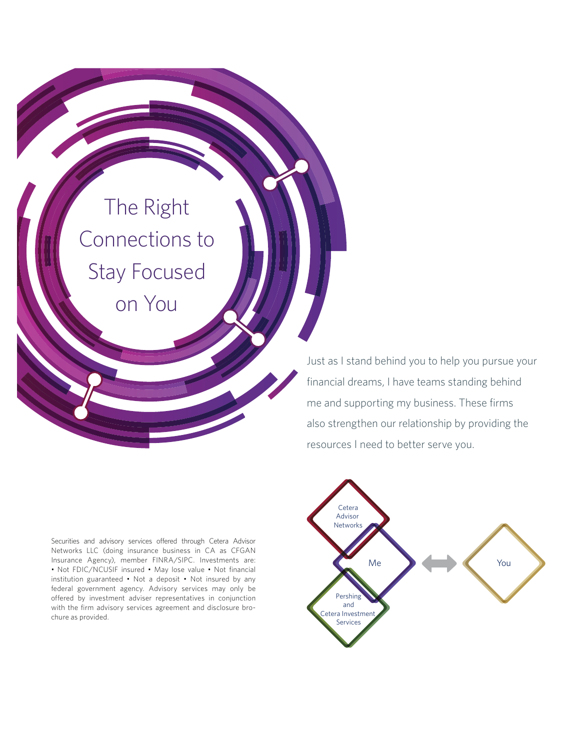The Right Connections to Stay Focused on You

Securities and advisory services offered through Cetera Advisor Networks LLC (doing insurance business in CA as CFGAN Insurance Agency), member FINRA/SIPC. Investments are: • Not FDIC/NCUSIF insured • May lose value • Not financial institution guaranteed • Not a deposit • Not insured by any federal government agency. Advisory services may only be offered by investment adviser representatives in conjunction with the firm advisory services agreement and disclosure brochure as provided.

Just as I stand behind you to help you pursue your financial dreams, I have teams standing behind me and supporting my business. These firms also strengthen our relationship by providing the resources I need to better serve you.

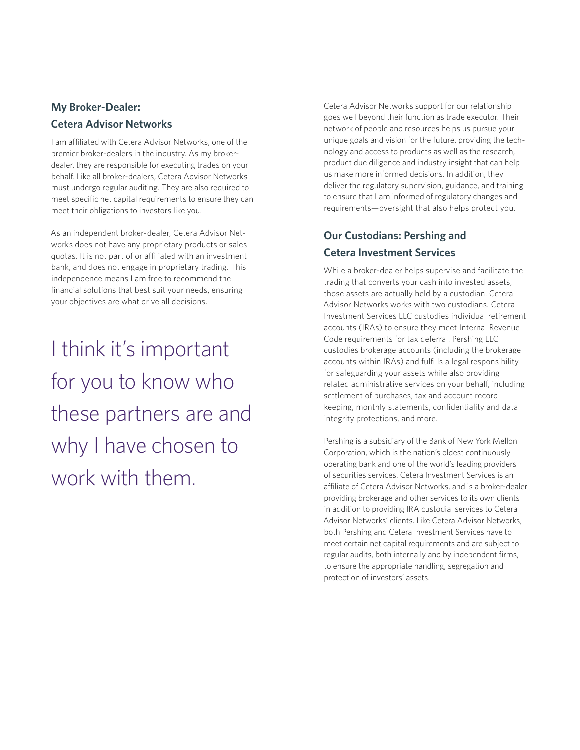# **My Broker-Dealer: Cetera Advisor Networks**

I am affiliated with Cetera Advisor Networks, one of the premier broker-dealers in the industry. As my brokerdealer, they are responsible for executing trades on your behalf. Like all broker-dealers, Cetera Advisor Networks must undergo regular auditing. They are also required to meet specific net capital requirements to ensure they can meet their obligations to investors like you.

As an independent broker-dealer, Cetera Advisor Networks does not have any proprietary products or sales quotas. It is not part of or affiliated with an investment bank, and does not engage in proprietary trading. This independence means I am free to recommend the financial solutions that best suit your needs, ensuring your objectives are what drive all decisions.

I think it's important for you to know who these partners are and why I have chosen to work with them.

Cetera Advisor Networks support for our relationship goes well beyond their function as trade executor. Their network of people and resources helps us pursue your unique goals and vision for the future, providing the technology and access to products as well as the research, product due diligence and industry insight that can help us make more informed decisions. In addition, they deliver the regulatory supervision, guidance, and training to ensure that I am informed of regulatory changes and requirements—oversight that also helps protect you.

## **Our Custodians: Pershing and Cetera Investment Services**

While a broker-dealer helps supervise and facilitate the trading that converts your cash into invested assets, those assets are actually held by a custodian. Cetera Advisor Networks works with two custodians. Cetera Investment Services LLC custodies individual retirement accounts (IRAs) to ensure they meet Internal Revenue Code requirements for tax deferral. Pershing LLC custodies brokerage accounts (including the brokerage accounts within IRAs) and fulfills a legal responsibility for safeguarding your assets while also providing related administrative services on your behalf, including settlement of purchases, tax and account record keeping, monthly statements, confidentiality and data integrity protections, and more.

Pershing is a subsidiary of the Bank of New York Mellon Corporation, which is the nation's oldest continuously operating bank and one of the world's leading providers of securities services. Cetera Investment Services is an affiliate of Cetera Advisor Networks, and is a broker-dealer providing brokerage and other services to its own clients in addition to providing IRA custodial services to Cetera Advisor Networks' clients. Like Cetera Advisor Networks, both Pershing and Cetera Investment Services have to meet certain net capital requirements and are subject to regular audits, both internally and by independent firms, to ensure the appropriate handling, segregation and protection of investors' assets.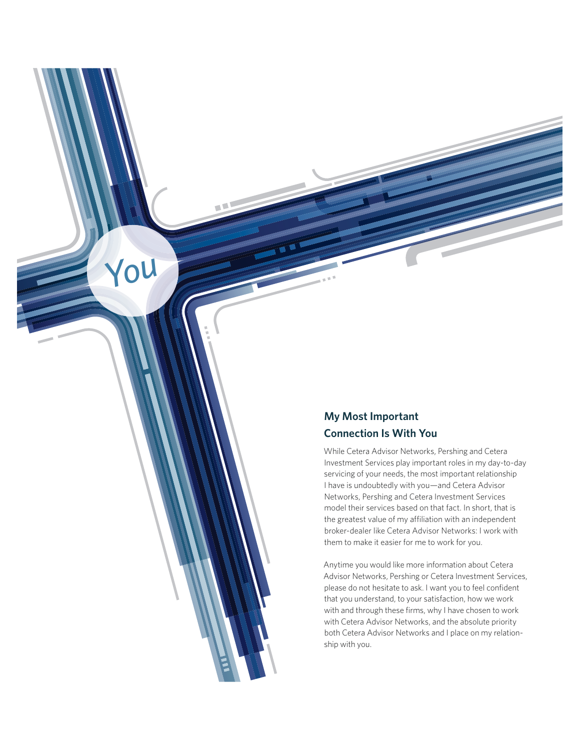## **My Most Important Connection Is With You**

*You*

While Cetera Advisor Networks, Pershing and Cetera Investment Services play important roles in my day-to-day servicing of your needs, the most important relationship I have is undoubtedly with you—and Cetera Advisor Networks, Pershing and Cetera Investment Services model their services based on that fact. In short, that is the greatest value of my affiliation with an independent broker-dealer like Cetera Advisor Networks: I work with them to make it easier for me to work for you.

Anytime you would like more information about Cetera Advisor Networks, Pershing or Cetera Investment Services, please do not hesitate to ask. I want you to feel confident that you understand, to your satisfaction, how we work with and through these firms, why I have chosen to work with Cetera Advisor Networks, and the absolute priority both Cetera Advisor Networks and I place on my relationship with you.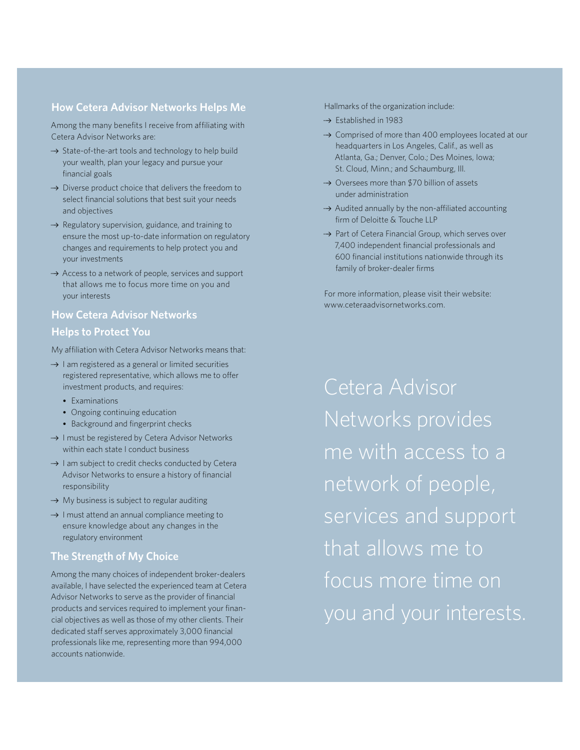### **How Cetera Advisor Networks Helps Me**

Among the many benefits I receive from affiliating with Cetera Advisor Networks are:

- State-of-the-art tools and technology to help build your wealth, plan your legacy and pursue your financial goals
- → Diverse product choice that delivers the freedom to select financial solutions that best suit your needs and objectives
- $\rightarrow$  Regulatory supervision, guidance, and training to ensure the most up-to-date information on regulatory changes and requirements to help protect you and your investments
- Access to a network of people, services and support that allows me to focus more time on you and your interests

#### **How Cetera Advisor Networks**

#### **Helps to Protect You**

My affiliation with Cetera Advisor Networks means that:

- $\rightarrow$  I am registered as a general or limited securities registered representative, which allows me to offer investment products, and requires:
	- Examinations
	- Ongoing continuing education
	- Background and fingerprint checks
- $\rightarrow$  I must be registered by Cetera Advisor Networks within each state I conduct business
- $\rightarrow$  I am subject to credit checks conducted by Cetera Advisor Networks to ensure a history of financial responsibility
- A My business is subject to regular auditing
- $\rightarrow$  I must attend an annual compliance meeting to ensure knowledge about any changes in the regulatory environment

### **The Strength of My Choice**

Among the many choices of independent broker-dealers available, I have selected the experienced team at Cetera Advisor Networks to serve as the provider of financial products and services required to implement your financial objectives as well as those of my other clients. Their dedicated staff serves approximately 3,000 financial professionals like me, representing more than 994,000 accounts nationwide.

Hallmarks of the organization include:

- $\rightarrow$  Established in 1983
- → Comprised of more than 400 employees located at our headquarters in Los Angeles, Calif., as well as Atlanta, Ga.; Denver, Colo.; Des Moines, Iowa; St. Cloud, Minn.; and Schaumburg, Ill.
- → Oversees more than \$70 billion of assets under administration
- Audited annually by the non-affiliated accounting firm of Deloitte & Touche LLP
- $\rightarrow$  Part of Cetera Financial Group, which serves over 7,400 independent financial professionals and 600 financial institutions nationwide through its family of broker-dealer firms

For more information, please visit their website: www.ceteraadvisornetworks.com.

Cetera Advisor Networks provides me with access to a network of people, services and support that allows me to focus more time on you and your interests.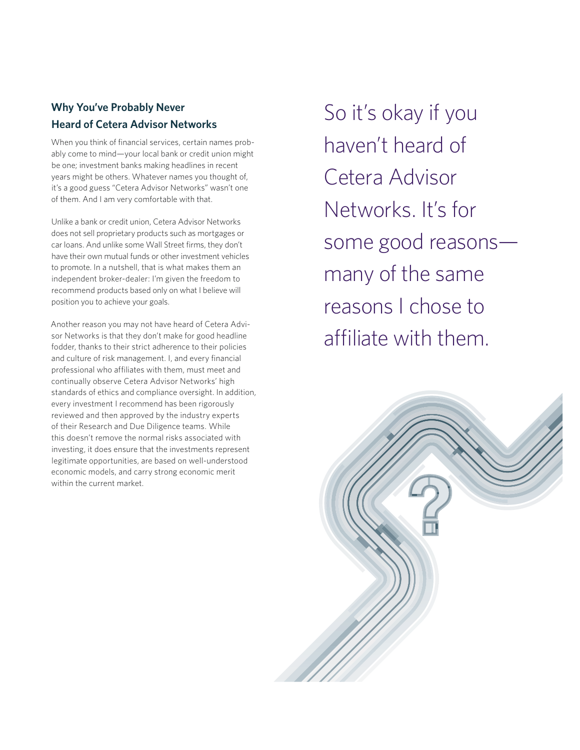# **Why You've Probably Never Heard of Cetera Advisor Networks**

When you think of financial services, certain names probably come to mind—your local bank or credit union might be one; investment banks making headlines in recent years might be others. Whatever names you thought of, it's a good guess "Cetera Advisor Networks" wasn't one of them. And I am very comfortable with that.

Unlike a bank or credit union, Cetera Advisor Networks does not sell proprietary products such as mortgages or car loans. And unlike some Wall Street firms, they don't have their own mutual funds or other investment vehicles to promote. In a nutshell, that is what makes them an independent broker-dealer: I'm given the freedom to recommend products based only on what I believe will position you to achieve your goals.

Another reason you may not have heard of Cetera Advisor Networks is that they don't make for good headline fodder, thanks to their strict adherence to their policies and culture of risk management. I, and every financial professional who affiliates with them, must meet and continually observe Cetera Advisor Networks' high standards of ethics and compliance oversight. In addition, every investment I recommend has been rigorously reviewed and then approved by the industry experts of their Research and Due Diligence teams. While this doesn't remove the normal risks associated with investing, it does ensure that the investments represent legitimate opportunities, are based on well-understood economic models, and carry strong economic merit within the current market.

So it's okay if you haven't heard of Cetera Advisor Networks. It's for some good reasons many of the same reasons I chose to affiliate with them.